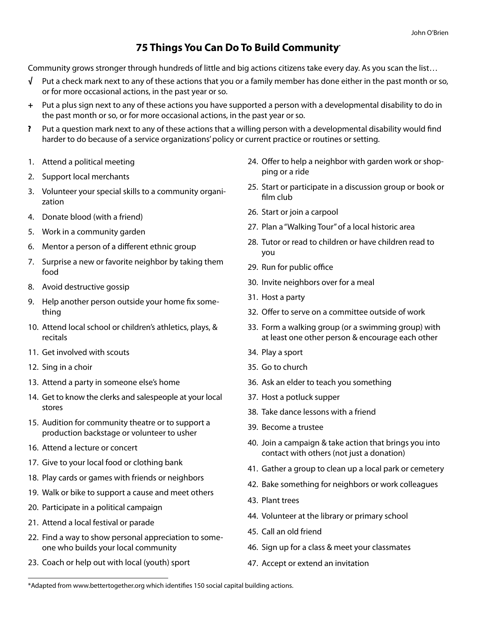## **75 Things You Can Do To Build Community**•

Community grows stronger through hundreds of little and big actions citizens take every day. As you scan the list…

- $\sqrt{\phantom{a}}$  Put a check mark next to any of these actions that you or a family member has done either in the past month or so, or for more occasional actions, in the past year or so.
- + Put a plus sign next to any of these actions you have supported a person with a developmental disability to do in the past month or so, or for more occasional actions, in the past year or so.
- ? Put a question mark next to any of these actions that a willing person with a developmental disability would find harder to do because of a service organizations' policy or current practice or routines or setting.
- 1. Attend a political meeting
- 2. Support local merchants
- 3. Volunteer your special skills to a community organization
- 4. Donate blood (with a friend)
- 5. Work in a community garden
- 6. Mentor a person of a different ethnic group
- 7. Surprise a new or favorite neighbor by taking them food
- 8. Avoid destructive gossip
- 9. Help another person outside your home fix something
- 10. Attend local school or children's athletics, plays, & recitals
- 11. Get involved with scouts
- 12. Sing in a choir
- 13. Attend a party in someone else's home
- 14. Get to know the clerks and salespeople at your local stores
- 15. Audition for community theatre or to support a production backstage or volunteer to usher
- 16. Attend a lecture or concert
- 17. Give to your local food or clothing bank
- 18. Play cards or games with friends or neighbors
- 19. Walk or bike to support a cause and meet others
- 20. Participate in a political campaign
- 21. Attend a local festival or parade
- 22. Find a way to show personal appreciation to someone who builds your local community
- 23. Coach or help out with local (youth) sport
- 24. Offer to help a neighbor with garden work or shopping or a ride
- 25. Start or participate in a discussion group or book or film club
- 26. Start or join a carpool
- 27. Plan a "Walking Tour" of a local historic area
- 28. Tutor or read to children or have children read to you
- 29. Run for public office
- 30. Invite neighbors over for a meal
- 31. Host a party
- 32. Offer to serve on a committee outside of work
- 33. Form a walking group (or a swimming group) with at least one other person & encourage each other
- 34. Play a sport
- 35. Go to church
- 36. Ask an elder to teach you something
- 37. Host a potluck supper
- 38. Take dance lessons with a friend
- 39. Become a trustee
- 40. Join a campaign & take action that brings you into contact with others (not just a donation)
- 41. Gather a group to clean up a local park or cemetery
- 42. Bake something for neighbors or work colleagues
- 43. Plant trees
- 44. Volunteer at the library or primary school
- 45. Call an old friend
- 46. Sign up for a class & meet your classmates
- 47. Accept or extend an invitation

<sup>\*</sup>Adapted from <www.bettertogether.org>which identifies 150 social capital building actions.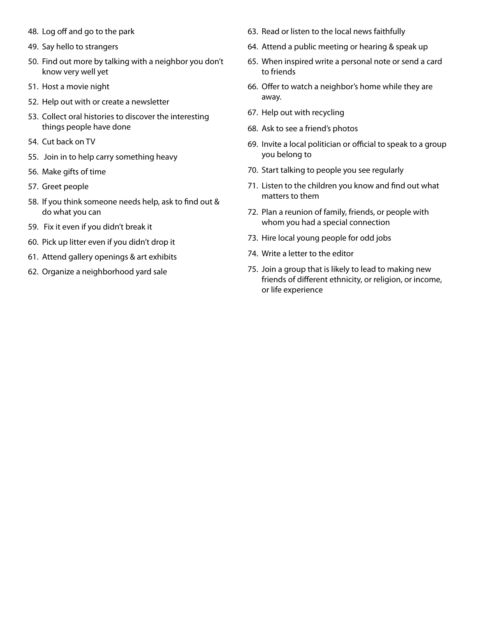- 48. Log off and go to the park
- 49. Say hello to strangers
- 50. Find out more by talking with a neighbor you don't know very well yet
- 51. Host a movie night
- 52. Help out with or create a newsletter
- 53. Collect oral histories to discover the interesting things people have done
- 54. Cut back on TV
- 55. Join in to help carry something heavy
- 56. Make gifts of time
- 57. Greet people
- 58. If you think someone needs help, ask to find out & do what you can
- 59. Fix it even if you didn't break it
- 60. Pick up litter even if you didn't drop it
- 61. Attend gallery openings & art exhibits
- 62. Organize a neighborhood yard sale
- 63. Read or listen to the local news faithfully
- 64. Attend a public meeting or hearing & speak up
- 65. When inspired write a personal note or send a card to friends
- 66. Offer to watch a neighbor's home while they are away.
- 67. Help out with recycling
- 68. Ask to see a friend's photos
- 69. Invite a local politician or official to speak to a group you belong to
- 70. Start talking to people you see regularly
- 71. Listen to the children you know and find out what matters to them
- 72. Plan a reunion of family, friends, or people with whom you had a special connection
- 73. Hire local young people for odd jobs
- 74. Write a letter to the editor
- 75. Join a group that is likely to lead to making new friends of different ethnicity, or religion, or income, or life experience